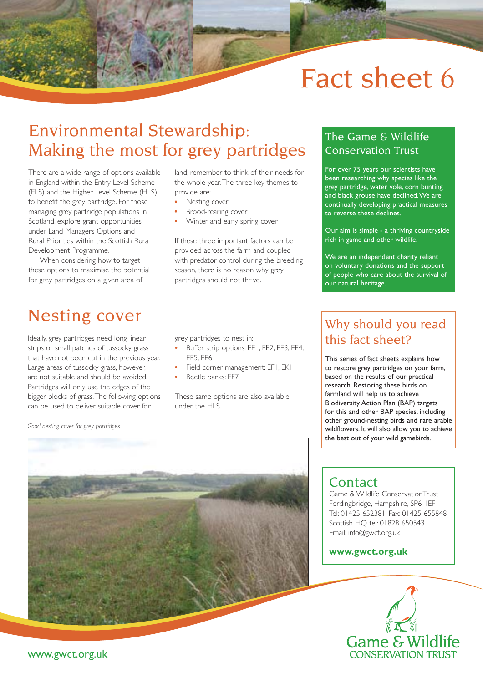# Fact sheet 6

## Environmental Stewardship: Making the most for grey partridges

There are a wide range of options available in England within the Entry Level Scheme (ELS) and the Higher Level Scheme (HLS) to benefit the grey partridge. For those managing grey partridge populations in Scotland, explore grant opportunities under Land Managers Options and Rural Priorities within the Scottish Rural Development Programme.

When considering how to target these options to maximise the potential for grey partridges on a given area of

land, remember to think of their needs for the whole year. The three key themes to provide are:

- Nesting cover
- Brood-rearing cover
- Winter and early spring cover

If these three important factors can be provided across the farm and coupled with predator control during the breeding season, there is no reason why grey partridges should not thrive.

#### The Game & Wildlife Conservation Trust

For over 75 years our scientists have been researching why species like the grey partridge, water vole, corn bunting and black grouse have declined. We are continually developing practical measures to reverse these declines.

Our aim is simple - a thriving countryside rich in game and other wildlife.

We are an independent charity reliant on voluntary donations and the support of people who care about the survival of our natural heritage.

### Nesting cover

Ideally, grey partridges need long linear strips or small patches of tussocky grass that have not been cut in the previous year. Large areas of tussocky grass, however, are not suitable and should be avoided. Partridges will only use the edges of the bigger blocks of grass. The following options can be used to deliver suitable cover for

*Good nesting cover for grey partridges*

grey partridges to nest in:

- Buffer strip options: EE1, EE2, EE3, EE4, EE5, EE6
- Field corner management: EF1, EK1 Beetle banks: EF7
- 

These same options are also available under the HLS.

### Why should you read this fact sheet?

This series of fact sheets explains how to restore grey partridges on your farm, based on the results of our practical research. Restoring these birds on farmland will help us to achieve Biodiversity Action Plan (BAP) targets for this and other BAP species, including other ground-nesting birds and rare arable wildflowers. It will also allow you to achieve the best out of your wild gamebirds.



#### **Contact**

Game & Wildlife ConservationTrust Fordingbridge, Hampshire, SP6 1EF Tel: 01425 652381, Fax: 01425 655848 Scottish HQ tel: 01828 650543 Email: info@gwct.org.uk

#### **www.gwct.org.uk**



www.gwct.org.uk